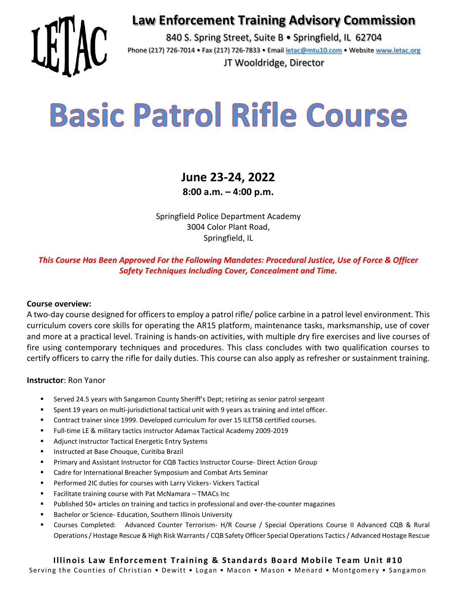## **Law Enforcement Training Advisory Commission**



840 S. Spring Street, Suite B · Springfield, IL 62704 Phone (217) 726-7014 • Fax (217) 726-7833 • Email [letac@mtu10.com](mailto:letac@mtu10.com) • Website [www.letac.org](http://www.letac.org/)

JT Wooldridge, Director

# **Basic Patrol Rifle Course**

## **June 23-24, 2022 8:00 a.m. – 4:00 p.m.**

Springfield Police Department Academy 3004 Color Plant Road, Springfield, IL

*This Course Has Been Approved For the Following Mandates: Procedural Justice, Use of Force & Officer Safety Techniques Including Cover, Concealment and Time.* 

## **Course overview:**

A two-day course designed for officers to employ a patrol rifle/ police carbine in a patrol level environment. This curriculum covers core skills for operating the AR15 platform, maintenance tasks, marksmanship, use of cover and more at a practical level. Training is hands-on activities, with multiple dry fire exercises and live courses of fire using contemporary techniques and procedures. This class concludes with two qualification courses to certify officers to carry the rifle for daily duties. This course can also apply as refresher or sustainment training.

### **Instructor**: Ron Yanor

- Served 24.5 years with Sangamon County Sheriff's Dept; retiring as senior patrol sergeant
- Spent 19 years on multi-jurisdictional tactical unit with 9 years as training and intel officer.
- Contract trainer since 1999. Developed curriculum for over 15 ILETSB certified courses.
- Full-time LE & military tactics instructor Adamax Tactical Academy 2009-2019
- Adjunct instructor Tactical Energetic Entry Systems
- Instructed at Base Chouque, Curitiba Brazil
- **Primary and Assistant Instructor for CQB Tactics Instructor Course- Direct Action Group**
- Cadre for International Breacher Symposium and Combat Arts Seminar
- Performed 2IC duties for courses with Larry Vickers- Vickers Tactical
- Facilitate training course with Pat McNamara TMACs Inc
- Published 50+ articles on training and tactics in professional and over-the-counter magazines
- Bachelor or Science- Education, Southern Illinois University
- Courses Completed: Advanced Counter Terrorism- H/R Course / Special Operations Course II Advanced CQB & Rural Operations / Hostage Rescue & High Risk Warrants / CQB Safety Officer Special Operations Tactics / Advanced Hostage Rescue

#### **Illinois Law Enforcement Training & Standards Board Mobile Team Unit #10** Serving the Counties of Christian • Dewitt • Logan • Macon • Mason • Menard • Montgomery • Sangamon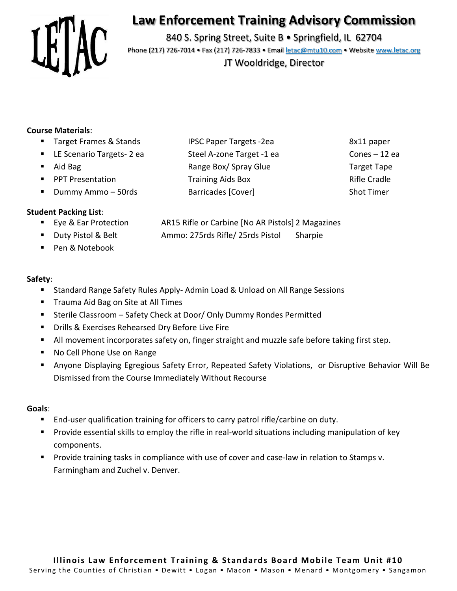

# **Law Enforcement Training Advisory Commission**

840 S. Spring Street, Suite B · Springfield, IL 62704 Phone (217) 726-7014 • Fax (217) 726-7833 • Email [letac@mtu10.com](mailto:letac@mtu10.com) • Website [www.letac.org](http://www.letac.org/)

JT Wooldridge, Director

## **Course Materials**:

- Target Frames & Stands IPSC Paper Targets -2ea 8x11 paper
- LE Scenario Targets- 2 ea Steel A-zone Target -1 ea Cones 12 ea
- 
- PPT Presentation Training Aids Box Rifle Cradle
- **Dummy Ammo 50rds Barricades [Cover]** Shot Timer

## **Student Packing List**:

- 
- 
- Pen & Notebook

## **Safety**:

- Standard Range Safety Rules Apply- Admin Load & Unload on All Range Sessions
- Trauma Aid Bag on Site at All Times
- Sterile Classroom Safety Check at Door/ Only Dummy Rondes Permitted
- **Drills & Exercises Rehearsed Dry Before Live Fire**
- All movement incorporates safety on, finger straight and muzzle safe before taking first step.
- No Cell Phone Use on Range
- Anyone Displaying Egregious Safety Error, Repeated Safety Violations, or Disruptive Behavior Will Be Dismissed from the Course Immediately Without Recourse

### **Goals**:

- End-user qualification training for officers to carry patrol rifle/carbine on duty.
- Provide essential skills to employ the rifle in real-world situations including manipulation of key components.
- Provide training tasks in compliance with use of cover and case-law in relation to Stamps v. Farmingham and Zuchel v. Denver.
- Aid Bag Range Box/ Spray Glue Target Tape Target Tape
- Eye & Ear Protection AR15 Rifle or Carbine [No AR Pistols] 2 Magazines
- Duty Pistol & Belt Ammo: 275rds Rifle/ 25rds Pistol Sharpie